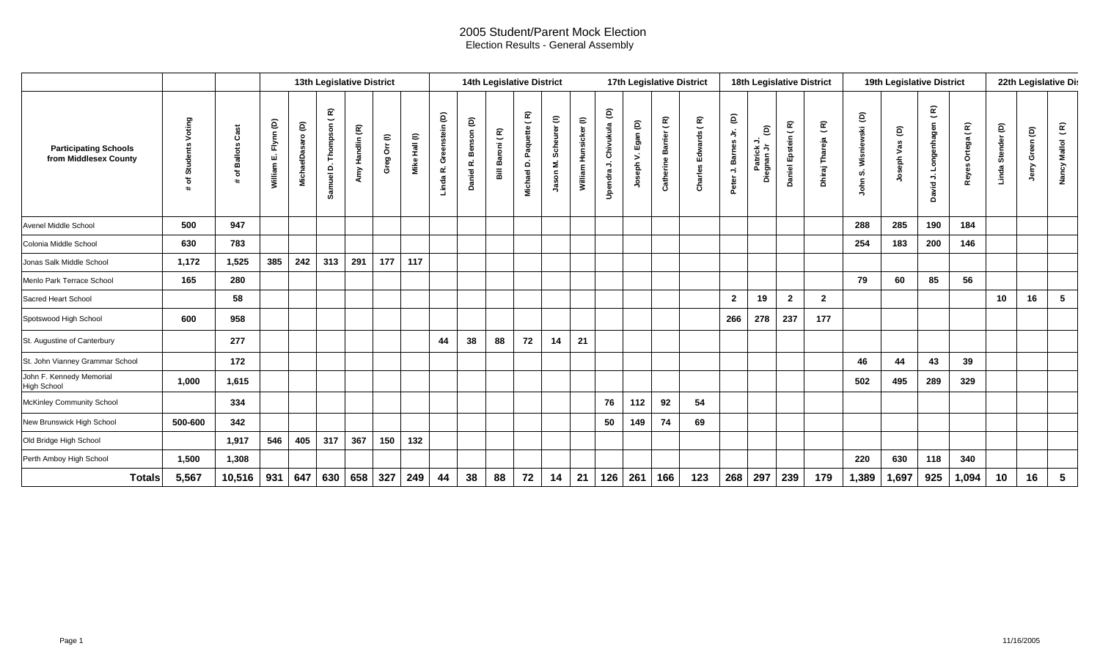## 2005 Student/Parent Mock Election Election Results - General Assembly

|                                                       |                                      |                                                     | 13th Legislative District  |                                         |                                                                  |                                          |                                |                  |                                                  | 14th Legislative District   |                                         |                                                                 |                                                    |                       |                                                                               |                    |                       | 17th Legislative District                    | 18th Legislative District             |                                                      |                    |                                        | 19th Legislative District       |                                      |                                                |                                     | 22th Legislative Dis |                    |                         |  |
|-------------------------------------------------------|--------------------------------------|-----------------------------------------------------|----------------------------|-----------------------------------------|------------------------------------------------------------------|------------------------------------------|--------------------------------|------------------|--------------------------------------------------|-----------------------------|-----------------------------------------|-----------------------------------------------------------------|----------------------------------------------------|-----------------------|-------------------------------------------------------------------------------|--------------------|-----------------------|----------------------------------------------|---------------------------------------|------------------------------------------------------|--------------------|----------------------------------------|---------------------------------|--------------------------------------|------------------------------------------------|-------------------------------------|----------------------|--------------------|-------------------------|--|
| <b>Participating Schools</b><br>from Middlesex County | Voting<br><b>Students</b><br>৳<br>21 | 5<br>ōΰ<br>ن<br><b>Ballots</b><br>ኄ<br>$\mathbf{H}$ | Flynn (D)<br>щi<br>William | $\widehat{\mathsf{e}}$<br>MichaelDasaro | $\widehat{\mathbf{z}}$<br>$\check{ }$<br>Thompson<br>۵<br>Samuel | $\widehat{\mathbf{E}}$<br>Handlin<br>Amy | $\in$<br>$\bar{\bf 5}$<br>Greg | Hail (l)<br>Mike | $\widehat{\mathsf{e}}$<br>Greenstein<br>Linda R. | ê<br>Benson<br>نم<br>Daniel | $\widehat{\mathbf{r}}$<br>Baroni (<br>冨 | $\widehat{\mathbf{z}}$<br>$\check{ }$<br>Paquette<br>Michael D. | $\mathrel{\widehat{=}}$<br>Scheurer<br>Σ.<br>Jason | William Hunsicker (I) | $\widehat{\mathsf{e}}$<br>Chivukula<br>$\overrightarrow{ }$<br><b>Upendra</b> | Joseph V. Egan (D) | Catherine Barrier (R) | $\widehat{\mathbf{E}}$<br>Edwards<br>Charles | ê<br>$\frac{1}{2}$<br>Peter J. Barnes | $\widehat{\mathsf{e}}$<br>⇒<br>Patrick<br>Diegnan Jr | Daniel Epstein (R) | $\widehat{\epsilon}$<br>Dhiraj Thareja | ê<br>Wisniewski<br>ທ່<br>통<br>∍ | $\widehat{\mathsf{e}}$<br>Joseph Vas | $\widehat{\mathbf{E}}$<br>David J. Longenhagen | œ<br>$\check{ }$<br>Ortega<br>Reyes | Linda Stender (D)    | Green (D)<br>Jerry | Nancy Mallol (R)        |  |
| Avenel Middle School                                  | 500                                  | 947                                                 |                            |                                         |                                                                  |                                          |                                |                  |                                                  |                             |                                         |                                                                 |                                                    |                       |                                                                               |                    |                       |                                              |                                       |                                                      |                    |                                        | 288                             | 285                                  | 190                                            | 184                                 |                      |                    |                         |  |
| Colonia Middle School                                 | 630                                  | 783                                                 |                            |                                         |                                                                  |                                          |                                |                  |                                                  |                             |                                         |                                                                 |                                                    |                       |                                                                               |                    |                       |                                              |                                       |                                                      |                    |                                        | 254                             | 183                                  | 200                                            | 146                                 |                      |                    |                         |  |
| Jonas Salk Middle School                              | 1,172                                | 1,525                                               | 385                        | 242                                     | 313                                                              | 291                                      | 177                            | 117              |                                                  |                             |                                         |                                                                 |                                                    |                       |                                                                               |                    |                       |                                              |                                       |                                                      |                    |                                        |                                 |                                      |                                                |                                     |                      |                    |                         |  |
| Menlo Park Terrace School                             | 165                                  | 280                                                 |                            |                                         |                                                                  |                                          |                                |                  |                                                  |                             |                                         |                                                                 |                                                    |                       |                                                                               |                    |                       |                                              |                                       |                                                      |                    |                                        | 79                              | 60                                   | 85                                             | 56                                  |                      |                    |                         |  |
| Sacred Heart School                                   |                                      | 58                                                  |                            |                                         |                                                                  |                                          |                                |                  |                                                  |                             |                                         |                                                                 |                                                    |                       |                                                                               |                    |                       |                                              | $\mathbf{2}$                          | 19                                                   | $\boldsymbol{2}$   | $\overline{2}$                         |                                 |                                      |                                                |                                     | 10                   | 16                 | $5\phantom{.0}$         |  |
| Spotswood High School                                 | 600                                  | 958                                                 |                            |                                         |                                                                  |                                          |                                |                  |                                                  |                             |                                         |                                                                 |                                                    |                       |                                                                               |                    |                       |                                              | 266                                   | 278                                                  | 237                | 177                                    |                                 |                                      |                                                |                                     |                      |                    |                         |  |
| St. Augustine of Canterbury                           |                                      | 277                                                 |                            |                                         |                                                                  |                                          |                                |                  | 44                                               | 38                          | 88                                      | 72                                                              | 14                                                 | 21                    |                                                                               |                    |                       |                                              |                                       |                                                      |                    |                                        |                                 |                                      |                                                |                                     |                      |                    |                         |  |
| St. John Vianney Grammar School                       |                                      | 172                                                 |                            |                                         |                                                                  |                                          |                                |                  |                                                  |                             |                                         |                                                                 |                                                    |                       |                                                                               |                    |                       |                                              |                                       |                                                      |                    |                                        | 46                              | 44                                   | 43                                             | 39                                  |                      |                    |                         |  |
| John F. Kennedy Memorial<br><b>High School</b>        | 1,000                                | 1,615                                               |                            |                                         |                                                                  |                                          |                                |                  |                                                  |                             |                                         |                                                                 |                                                    |                       |                                                                               |                    |                       |                                              |                                       |                                                      |                    |                                        | 502                             | 495                                  | 289                                            | 329                                 |                      |                    |                         |  |
| <b>McKinley Community School</b>                      |                                      | 334                                                 |                            |                                         |                                                                  |                                          |                                |                  |                                                  |                             |                                         |                                                                 |                                                    |                       | 76                                                                            | 112                | 92                    | 54                                           |                                       |                                                      |                    |                                        |                                 |                                      |                                                |                                     |                      |                    |                         |  |
| New Brunswick High School                             | 500-600                              | 342                                                 |                            |                                         |                                                                  |                                          |                                |                  |                                                  |                             |                                         |                                                                 |                                                    |                       | 50                                                                            | 149                | 74                    | 69                                           |                                       |                                                      |                    |                                        |                                 |                                      |                                                |                                     |                      |                    |                         |  |
| Old Bridge High School                                |                                      | 1,917                                               | 546                        | 405                                     | 317                                                              | 367                                      | 150                            | 132              |                                                  |                             |                                         |                                                                 |                                                    |                       |                                                                               |                    |                       |                                              |                                       |                                                      |                    |                                        |                                 |                                      |                                                |                                     |                      |                    |                         |  |
| Perth Amboy High School                               | 1,500                                | 1,308                                               |                            |                                         |                                                                  |                                          |                                |                  |                                                  |                             |                                         |                                                                 |                                                    |                       |                                                                               |                    |                       |                                              |                                       |                                                      |                    |                                        | 220                             | 630                                  | 118                                            | 340                                 |                      |                    |                         |  |
| <b>Totals</b>                                         | 5,567                                | 10,516                                              | 931                        | 647                                     | 630                                                              | 658                                      | 327                            | 249              | 44                                               | 38                          | 88                                      | 72                                                              | 14                                                 | 21                    | 126                                                                           | 261                | 166                   | 123                                          | 268                                   | 297                                                  | 239                | 179                                    | 1,389                           | 1,697                                | 925                                            | 1,094                               | 10                   | 16                 | $\overline{\mathbf{5}}$ |  |